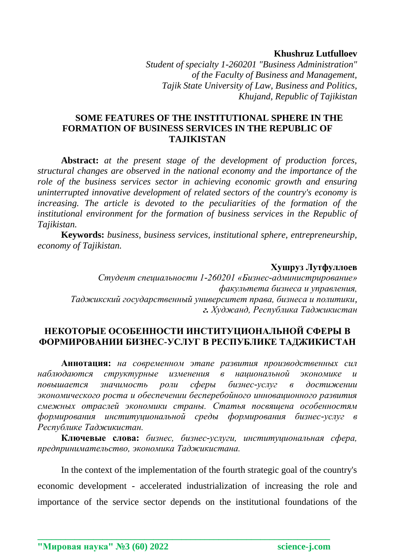### **Khushruz Lutfulloev**

*Student of specialty 1-260201 "Business Administration" of the Faculty of Business and Management, Tajik State University of Law, Business and Politics, Khujand, Republic of Tajikistan*

## **SOME FEATURES OF THE INSTITUTIONAL SPHERE IN THE FORMATION OF BUSINESS SERVICES IN THE REPUBLIC OF TAJIKISTAN**

**Abstract:** *at the present stage of the development of production forces, structural changes are observed in the national economy and the importance of the role of the business services sector in achieving economic growth and ensuring uninterrupted innovative development of related sectors of the country's economy is increasing. The article is devoted to the peculiarities of the formation of the institutional environment for the formation of business services in the Republic of Tajikistan.*

**Keywords:** *business, business services, institutional sphere, entrepreneurship, economy of Tajikistan.*

#### **Хушруз Лутфуллоев**

*Студент специальности 1-260201 «Бизнес-администрирование» факультета бизнеса и управления, Таджикский государственный университет права, бизнеса и политики, г. Худжанд, Республика Таджикистан*

## **НЕКОТОРЫЕ ОСОБЕННОСТИ ИНСТИТУЦИОНАЛЬНОЙ СФЕРЫ В ФОРМИРОВАНИИ БИЗНЕС-УСЛУГ В РЕСПУБЛИКЕ ТАДЖИКИСТАН**

**Аннотация:** *на современном этапе развития производственных сил наблюдаются структурные изменения в национальной экономике и повышается значимость роли сферы бизнес-услуг в достижении экономического роста и обеспечении бесперебойного инновационного развития смежных отраслей экономики страны. Статья посвящена особенностям*  формирования институциональной среды формирования бизнес-услуг *Республике Таджикистан.*

**Ключевые слова:** *бизнес, бизнес-услуги, институциональная сфера, предпринимательство, экономика Таджикистана.*

In the context of the implementation of the fourth strategic goal of the country's economic development - accelerated industrialization of increasing the role and importance of the service sector depends on the institutional foundations of the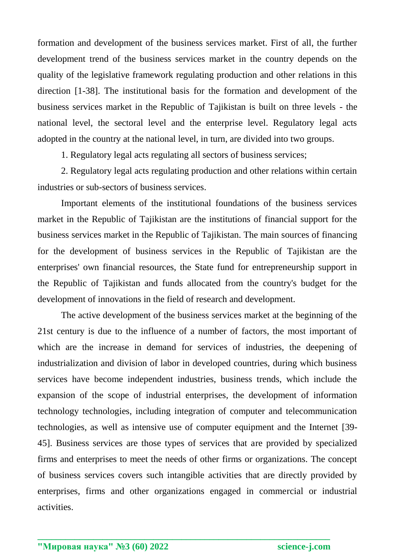formation and development of the business services market. First of all, the further development trend of the business services market in the country depends on the quality of the legislative framework regulating production and other relations in this direction [1-38]. The institutional basis for the formation and development of the business services market in the Republic of Tajikistan is built on three levels - the national level, the sectoral level and the enterprise level. Regulatory legal acts adopted in the country at the national level, in turn, are divided into two groups.

1. Regulatory legal acts regulating all sectors of business services;

2. Regulatory legal acts regulating production and other relations within certain industries or sub-sectors of business services.

Important elements of the institutional foundations of the business services market in the Republic of Tajikistan are the institutions of financial support for the business services market in the Republic of Tajikistan. The main sources of financing for the development of business services in the Republic of Tajikistan are the enterprises' own financial resources, the State fund for entrepreneurship support in the Republic of Tajikistan and funds allocated from the country's budget for the development of innovations in the field of research and development.

The active development of the business services market at the beginning of the 21st century is due to the influence of a number of factors, the most important of which are the increase in demand for services of industries, the deepening of industrialization and division of labor in developed countries, during which business services have become independent industries, business trends, which include the expansion of the scope of industrial enterprises, the development of information technology technologies, including integration of computer and telecommunication technologies, as well as intensive use of computer equipment and the Internet [39- 45]. Business services are those types of services that are provided by specialized firms and enterprises to meet the needs of other firms or organizations. The concept of business services covers such intangible activities that are directly provided by enterprises, firms and other organizations engaged in commercial or industrial activities.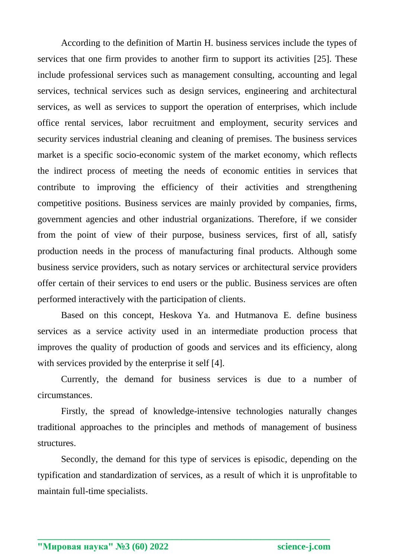According to the definition of Martin H. business services include the types of services that one firm provides to another firm to support its activities [25]. These include professional services such as management consulting, accounting and legal services, technical services such as design services, engineering and architectural services, as well as services to support the operation of enterprises, which include office rental services, labor recruitment and employment, security services and security services industrial cleaning and cleaning of premises. The business services market is a specific socio-economic system of the market economy, which reflects the indirect process of meeting the needs of economic entities in services that contribute to improving the efficiency of their activities and strengthening competitive positions. Business services are mainly provided by companies, firms, government agencies and other industrial organizations. Therefore, if we consider from the point of view of their purpose, business services, first of all, satisfy production needs in the process of manufacturing final products. Although some business service providers, such as notary services or architectural service providers offer certain of their services to end users or the public. Business services are often performed interactively with the participation of clients.

Based on this concept, Heskova Ya. and Hutmanova E. define business services as a service activity used in an intermediate production process that improves the quality of production of goods and services and its efficiency, along with services provided by the enterprise it self [4].

Currently, the demand for business services is due to a number of circumstances.

Firstly, the spread of knowledge-intensive technologies naturally changes traditional approaches to the principles and methods of management of business structures.

Secondly, the demand for this type of services is episodic, depending on the typification and standardization of services, as a result of which it is unprofitable to maintain full-time specialists.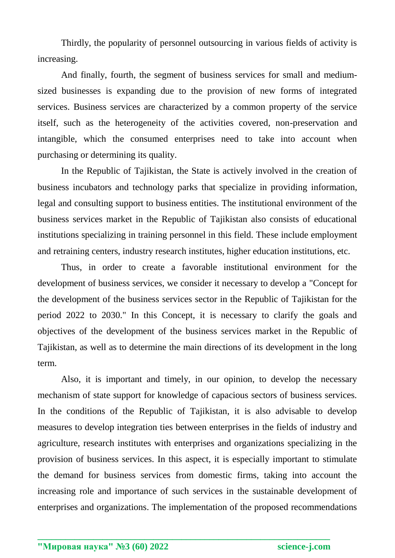Thirdly, the popularity of personnel outsourcing in various fields of activity is increasing.

And finally, fourth, the segment of business services for small and mediumsized businesses is expanding due to the provision of new forms of integrated services. Business services are characterized by a common property of the service itself, such as the heterogeneity of the activities covered, non-preservation and intangible, which the consumed enterprises need to take into account when purchasing or determining its quality.

In the Republic of Tajikistan, the State is actively involved in the creation of business incubators and technology parks that specialize in providing information, legal and consulting support to business entities. The institutional environment of the business services market in the Republic of Tajikistan also consists of educational institutions specializing in training personnel in this field. These include employment and retraining centers, industry research institutes, higher education institutions, etc.

Thus, in order to create a favorable institutional environment for the development of business services, we consider it necessary to develop a "Concept for the development of the business services sector in the Republic of Tajikistan for the period 2022 to 2030." In this Concept, it is necessary to clarify the goals and objectives of the development of the business services market in the Republic of Tajikistan, as well as to determine the main directions of its development in the long term.

Also, it is important and timely, in our opinion, to develop the necessary mechanism of state support for knowledge of capacious sectors of business services. In the conditions of the Republic of Tajikistan, it is also advisable to develop measures to develop integration ties between enterprises in the fields of industry and agriculture, research institutes with enterprises and organizations specializing in the provision of business services. In this aspect, it is especially important to stimulate the demand for business services from domestic firms, taking into account the increasing role and importance of such services in the sustainable development of enterprises and organizations. The implementation of the proposed recommendations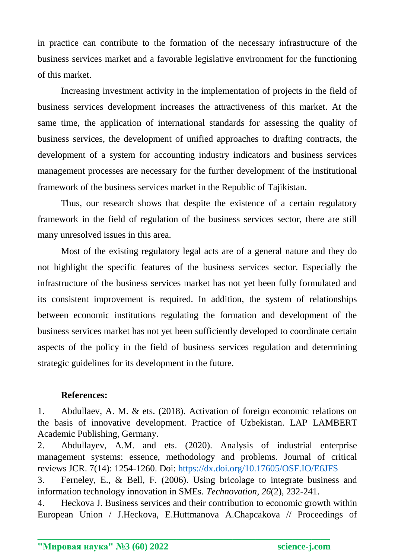in practice can contribute to the formation of the necessary infrastructure of the business services market and a favorable legislative environment for the functioning of this market.

Increasing investment activity in the implementation of projects in the field of business services development increases the attractiveness of this market. At the same time, the application of international standards for assessing the quality of business services, the development of unified approaches to drafting contracts, the development of a system for accounting industry indicators and business services management processes are necessary for the further development of the institutional framework of the business services market in the Republic of Tajikistan.

Thus, our research shows that despite the existence of a certain regulatory framework in the field of regulation of the business services sector, there are still many unresolved issues in this area.

Most of the existing regulatory legal acts are of a general nature and they do not highlight the specific features of the business services sector. Especially the infrastructure of the business services market has not yet been fully formulated and its consistent improvement is required. In addition, the system of relationships between economic institutions regulating the formation and development of the business services market has not yet been sufficiently developed to coordinate certain aspects of the policy in the field of business services regulation and determining strategic guidelines for its development in the future.

# **References:**

1. Abdullaev, A. M. & ets. (2018). Activation of foreign economic relations on the basis of innovative development. Practice of Uzbekistan. LAP LAMBERT Academic Publishing, Germany.

2. Abdullayev, A.M. and ets. (2020). Analysis of industrial enterprise management systems: essence, methodology and problems. Journal of critical reviews JCR. 7(14): 1254-1260. Doi:<https://dx.doi.org/10.17605/OSF.IO/E6JFS>

3. Ferneley, E., & Bell, F. (2006). Using bricolage to integrate business and information technology innovation in SMEs. *Technovation*, *26*(2), 232-241.

4. Heckova J. Business services and their contribution to economic growth within European Union / J.Heckova, E.Huttmanova A.Chapcakova // Proceedings of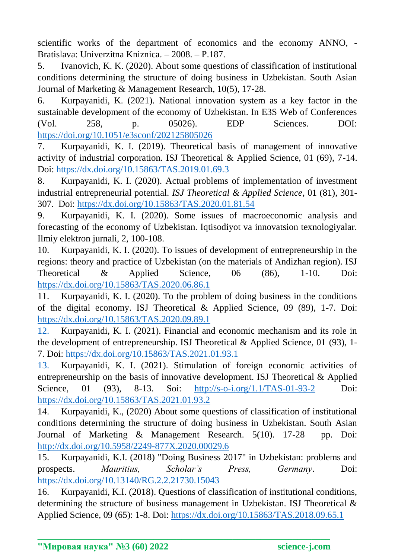scientific works of the department of economics and the economy ANNO, - Bratislava: Univerzitna Kniznica. – 2008. – Р.187.

5. Ivanovich, K. K. (2020). About some questions of classification of institutional conditions determining the structure of doing business in Uzbekistan. South Asian Journal of Marketing & Management Research, 10(5), 17-28.

6. Kurpayanidi, K. (2021). National innovation system as a key factor in the sustainable development of the economy of Uzbekistan. In E3S Web of Conferences (Vol. 258, p. 05026). EDP Sciences. DOI: <https://doi.org/10.1051/e3sconf/202125805026>

7. Kurpayanidi, K. I. (2019). Theoretical basis of management of innovative activity of industrial corporation. ISJ Theoretical & Applied Science, 01 (69), 7-14. Doi:<https://dx.doi.org/10.15863/TAS.2019.01.69.3>

8. Kurpayanidi, K. I. (2020). Actual problems of implementation of investment industrial entrepreneurial potential. *ISJ Theoretical & Applied Science*, 01 (81), 301- 307. Doi:<https://dx.doi.org/10.15863/TAS.2020.01.81.54>

9. Kurpayanidi, K. I. (2020). Some issues of macroeconomic analysis and forecasting of the economy of Uzbekistan. Iqtisodiyot va innovatsion texnologiyalar. Ilmiy elektron jurnali, 2, 100-108.

10. Kurpayanidi, K. I. (2020). To issues of development of entrepreneurship in the regions: theory and practice of Uzbekistan (on the materials of Andizhan region). ISJ Theoretical & Applied Science, 06 (86), 1-10. Doi: <https://dx.doi.org/10.15863/TAS.2020.06.86.1>

11. Kurpayanidi, K. I. (2020). To the problem of doing business in the conditions of the digital economy. ISJ Theoretical & Applied Science, 09 (89), 1-7. Doi: <https://dx.doi.org/10.15863/TAS.2020.09.89.1>

12. Kurpayanidi, K. I. (2021). Financial and economic mechanism and its role in the development of entrepreneurship. ISJ Theoretical & Applied Science, 01 (93), 1- 7. Doi:<https://dx.doi.org/10.15863/TAS.2021.01.93.1>

13. Kurpayanidi, K. I. (2021). Stimulation of foreign economic activities of entrepreneurship on the basis of innovative development. ISJ Theoretical & Applied Science, 01 (93), 8-13. Soi: <http://s-o-i.org/1.1/TAS-01-93-2>Doi: <https://dx.doi.org/10.15863/TAS.2021.01.93.2>

14. Kurpayanidi, K., (2020) About some questions of classification of institutional conditions determining the structure of doing business in Uzbekistan. South Asian Journal of Marketing & Management Research. 5(10). 17-28 pp. Doi: <http://dx.doi.org/10.5958/2249-877X.2020.00029.6>

15. Kurpayanidi, K.I. (2018) "Doing Business 2017" in Uzbekistan: problems and prospects. *Mauritius, Scholar's Press, Germany*. Doi: <https://dx.doi.org/10.13140/RG.2.2.21730.15043>

16. Kurpayanidi, K.I. (2018). Questions of classification of institutional conditions, determining the structure of business management in Uzbekistan. ISJ Theoretical & Applied Science, 09 (65): 1-8. Doi:<https://dx.doi.org/10.15863/TAS.2018.09.65.1>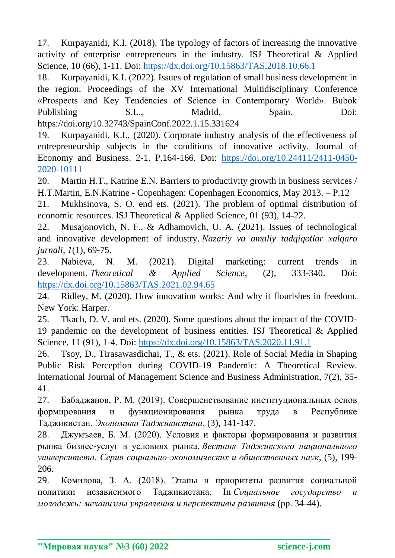17. Kurpayanidi, K.I. (2018). The typology of factors of increasing the innovative activity of enterprise entrepreneurs in the industry. ISJ Theoretical & Applied Science, 10 (66), 1-11. Doi:<https://dx.doi.org/10.15863/TAS.2018.10.66.1>

18. Kurpayanidi, K.I. (2022). Issues of regulation of small business development in the region. Proceedings of the XV International Multidisciplinary Conference «Prospects and Key Tendencies of Science in Contemporary World». Bubok Publishing S.L., Madrid, Spain. Doi: https://doi.org/10.32743/SpainConf.2022.1.15.331624

19. Kurpayanidi, K.I., (2020). Corporate industry analysis of the effectiveness of entrepreneurship subjects in the conditions of innovative activity. Journal of Economy and Business. 2-1. P.164-166. Doi: [https://doi.org/10.24411/2411-0450-](https://doi.org/10.24411/2411-0450-2020-10111) [2020-10111](https://doi.org/10.24411/2411-0450-2020-10111)

20. Martin H.T., Katrine E.N. Barriers to productivity growth in business services / H.T.Martin, E.N.Katrine - Copenhagen: Copenhagen Economics, May 2013. – Р.12

21. Mukhsinova, S. O. end ets. (2021). The problem of optimal distribution of economic resources. ISJ Theoretical & Applied Science, 01 (93), 14-22.

22. Musajonovich, N. F., & Adhamovich, U. A. (2021). Issues of technological and innovative development of industry. *Nazariy va amaliy tadqiqotlar xalqaro jurnali*, *1*(1), 69-75.

23. Nabieva, N. M. (2021). Digital marketing: current trends in development. *Theoretical & Applied Science*, (2), 333-340. Doi: <https://dx.doi.org/10.15863/TAS.2021.02.94.65>

24. Ridley, M. (2020). How innovation works: And why it flourishes in freedom. New York: Harper.

25. Tkach, D. V. and ets. (2020). Some questions about the impact of the COVID-19 pandemic on the development of business entities. ISJ Theoretical & Applied Science, 11 (91), 1-4. Doi:<https://dx.doi.org/10.15863/TAS.2020.11.91.1>

26. Tsoy, D., Tirasawasdichai, T., & ets. (2021). Role of Social Media in Shaping Public Risk Perception during COVID-19 Pandemic: A Theoretical Review. International Journal of Management Science and Business Administration, 7(2), 35- 41.

27. Бабаджанов, Р. М. (2019). Совершенствование институциональных основ формирования и функционирования рынка труда в Республике Таджикистан. *Экономика Таджикистана*, (3), 141-147.

28. Джумъаев, Б. М. (2020). Условия и факторы формирования и развития рынка бизнес-услуг в условиях рынка. *Вестник Таджикского национального университета. Серия социально-экономических и общественных наук*, (5), 199- 206.

29. Комилова, З. А. (2018). Этапы и приоритеты развития социальной политики независимого Таджикистана. In *Социальное государство и молодежь: механизмы управления и перспективы развития* (pp. 34-44).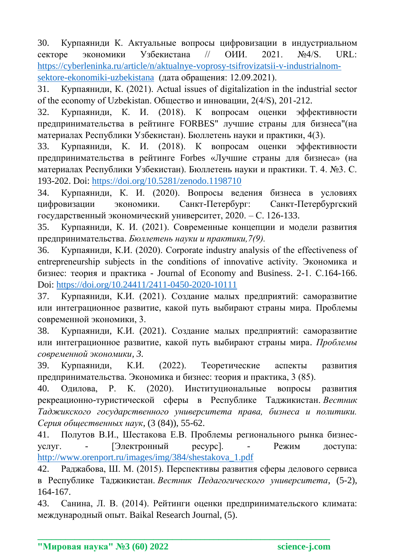30. Курпаяниди К. Актуальные вопросы цифровизации в индустриальном секторе экономики Узбекистана // ОИИ. 2021. №4/S. URL: [https://cyberleninka.ru/article/n/aktualnye-voprosy-tsifrovizatsii-v-industrialnom](https://cyberleninka.ru/article/n/aktualnye-voprosy-tsifrovizatsii-v-industrialnom-sektore-ekonomiki-uzbekistana)[sektore-ekonomiki-uzbekistana](https://cyberleninka.ru/article/n/aktualnye-voprosy-tsifrovizatsii-v-industrialnom-sektore-ekonomiki-uzbekistana) (дата обращения: 12.09.2021).

31. Курпаяниди, К. (2021). Actual issues of digitalization in the industrial sector of the economy of Uzbekistan. Общество и инновации, 2(4/S), 201-212.

32. Курпаяниди, К. И. (2018). К вопросам оценки эффективности предпринимательства в рейтинге FORBES" лучшие страны для бизнеса"(на материалах Республики Узбекистан). Бюллетень науки и практики, 4(3).

33. Курпаяниди, К. И. (2018). К вопросам оценки эффективности предпринимательства в рейтинге Forbes «Лучшие страны для бизнеса» (на материалах Республики Узбекистан). Бюллетень науки и практики. Т. 4. №3. С. 193-202. Doi:<https://doi.org/10.5281/zenodo.1198710>

34. Курпаяниди, К. И. (2020). Вопросы ведения бизнеса в условиях цифровизации экономики. Санкт-Петербург: Санкт-Петербургский государственный экономический университет, 2020. – С. 126-133.

35. Курпаяниди, К. И. (2021). Современные концепции и модели развития предпринимательства. *Бюллетень науки и практики,7(9).*

36. Курпаяниди, К.И. (2020). Corporate industry analysis of the effectiveness of entrepreneurship subjects in the conditions of innovative activity. Экономика и бизнес: теория и практика - Journal of Economy and Business. 2-1. С.164-166. Doi:<https://doi.org/10.24411/2411-0450-2020-10111>

37. Курпаяниди, К.И. (2021). Создание малых предприятий: саморазвитие или интеграционное развитие, какой путь выбирают страны мира. Проблемы современной экономики, 3.

38. Курпаяниди, К.И. (2021). Создание малых предприятий: саморазвитие или интеграционное развитие, какой путь выбирают страны мира. *Проблемы современной экономики, 3.*

39. Курпаяниди, К.И. (2022). Теоретические аспекты развития предпринимательства. Экономика и бизнес: теория и практика, 3 (85).

40. Одилова, Р. К. (2020). Институциональные вопросы развития рекреационно-туристической сферы в Республике Таджикистан. *Вестник Таджикского государственного университета права, бизнеса и политики. Серия общественных наук*, (3 (84)), 55-62.

41. Полутов В.И., Шестакова Е.В. Проблемы регионального рынка бизнесуслуг. - [Электронный ресурс]. - Режим доступа: [http://www.orenport.ru/images/img/384/shestakova\\_1.pdf](http://www.orenport.ru/images/img/384/shestakova_1.pdf)

42. Раджабова, Ш. М. (2015). Перспективы развития сферы делового сервиса в Республике Таджикистан. *Вестник Педагогического университета*, (5-2), 164-167.

43. Санина, Л. В. (2014). Рейтинги оценки предпринимательского климата: международный опыт. Baikal Research Journal, (5).